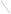